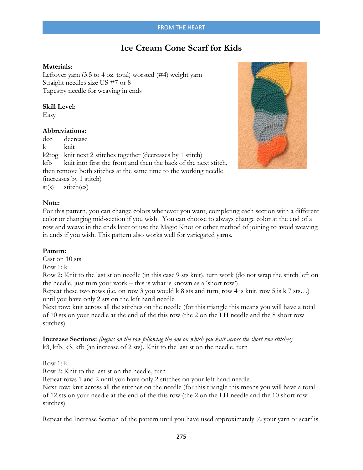# **Ice Cream Cone Scarf for Kids**

# **Materials**:

Leftover yarn (3.5 to 4 oz. total) worsted (#4) weight yarn Straight needles size US #7 or 8 Tapestry needle for weaving in ends

#### **Skill Level:**

Easy

# **Abbreviations:**

dec decrease k knit k2tog knit next 2 stitches together (decreases by 1 stitch) kfb knit into first the front and then the back of the next stitch, then remove both stitches at the same time to the working needle (increases by 1 stitch) st(s) stitch(es)



## **Note:**

For this pattern, you can change colors whenever you want, completing each section with a different color or changing mid-section if you wish. You can choose to always change color at the end of a row and weave in the ends later or use the Magic Knot or other method of joining to avoid weaving in ends if you wish. This pattern also works well for variegated yarns.

# **Pattern:**

Cast on 10 sts

Row 1: k

Row 2: Knit to the last st on needle (in this case 9 sts knit), turn work (do not wrap the stitch left on the needle, just turn your work – this is what is known as a 'short row')

Repeat these two rows (i.e. on row 3 you would k 8 sts and turn, row 4 is knit, row 5 is k 7 sts…) until you have only 2 sts on the left hand needle

Next row: knit across all the stitches on the needle (for this triangle this means you will have a total of 10 sts on your needle at the end of the this row (the 2 on the LH needle and the 8 short row stitches)

**Increase Sections:** *(begins on the row following the one on which you knit across the short row stitches)*  k3, kfb, k3, kfb (an increase of 2 sts). Knit to the last st on the needle, turn

Row 1: k

Row 2: Knit to the last st on the needle, turn

Repeat rows 1 and 2 until you have only 2 stitches on your left hand needle.

Next row: knit across all the stitches on the needle (for this triangle this means you will have a total of 12 sts on your needle at the end of the this row (the 2 on the LH needle and the 10 short row stitches)

Repeat the Increase Section of the pattern until you have used approximately  $\frac{1}{2}$  your yarn or scarf is